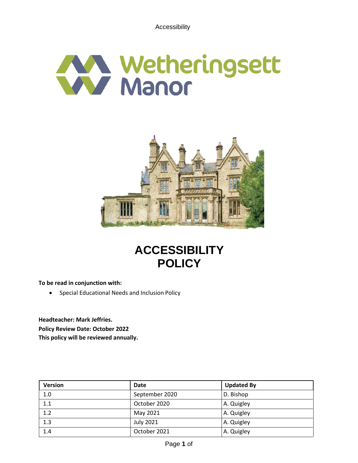Accessibility





# **ACCESSIBILITY POLICY**

**To be read in conjunction with:**

• Special Educational Needs and Inclusion Policy

**Headteacher: Mark Jeffries. Policy Review Date: October 2022 This policy will be reviewed annually.**

| <b>Version</b> | <b>Date</b>      | <b>Updated By</b> |
|----------------|------------------|-------------------|
| 1.0            | September 2020   | D. Bishop         |
| 1.1            | October 2020     | A. Quigley        |
| 1.2            | May 2021         | A. Quigley        |
| 1.3            | <b>July 2021</b> | A. Quigley        |
| 1.4            | October 2021     | A. Quigley        |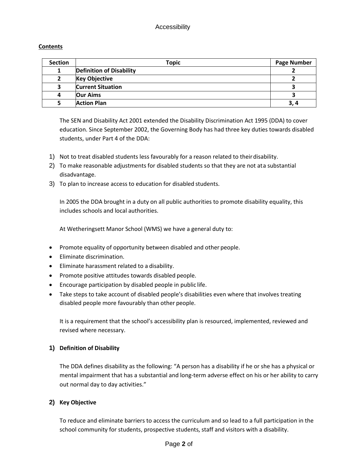# Accessibility

## **Contents**

| <b>Section</b> | <b>Topic</b>                    | <b>Page Number</b> |
|----------------|---------------------------------|--------------------|
| 1              | <b>Definition of Disability</b> |                    |
|                | <b>Key Objective</b>            |                    |
| 3              | <b>Current Situation</b>        |                    |
| 4              | Our Aims                        |                    |
|                | <b>Action Plan</b>              | 3, 4               |

The SEN and Disability Act 2001 extended the Disability Discrimination Act 1995 (DDA) to cover education. Since September 2002, the Governing Body has had three key duties towards disabled students, under Part 4 of the DDA:

- 1) Not to treat disabled students less favourably for a reason related to theirdisability.
- 2) To make reasonable adjustments for disabled students so that they are not ata substantial disadvantage.
- 3) To plan to increase access to education for disabled students.

In 2005 the DDA brought in a duty on all public authorities to promote disability equality, this includes schools and local authorities.

At Wetheringsett Manor School (WMS) we have a general duty to:

- Promote equality of opportunity between disabled and other people.
- Eliminate discrimination.
- Eliminate harassment related to a disability.
- Promote positive attitudes towards disabled people.
- Encourage participation by disabled people in public life.
- Take steps to take account of disabled people's disabilities even where that involves treating disabled people more favourably than other people.

It is a requirement that the school's accessibility plan is resourced, implemented, reviewed and revised where necessary.

#### **1) Definition of Disability**

The DDA defines disability as the following: "A person has a disability if he or she has a physical or mental impairment that has a substantial and long-term adverse effect on his or her ability to carry out normal day to day activities."

# **2) Key Objective**

To reduce and eliminate barriers to access the curriculum and so lead to a full participation in the school community for students, prospective students, staff and visitors with a disability.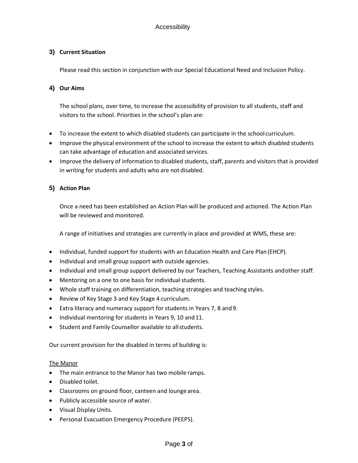# **3) Current Situation**

Please read this section in conjunction with our Special Educational Need and Inclusion Policy.

## **4) Our Aims**

The school plans, over time, to increase the accessibility of provision to all students, staff and visitors to the school. Priorities in the school's plan are:

- To increase the extent to which disabled students can participate in the school curriculum.
- Improve the physical environment of the school to increase the extent to which disabled students can take advantage of education and associated services.
- Improve the delivery of information to disabled students, staff, parents and visitors that is provided in writing for students and adults who are not disabled.

# **5) Action Plan**

Once a need has been established an Action Plan will be produced and actioned. The Action Plan will be reviewed and monitored.

A range of initiatives and strategies are currently in place and provided at WMS, these are:

- Individual, funded support for students with an Education Health and Care Plan(EHCP).
- Individual and small group support with outside agencies.
- Individual and small group support delivered by our Teachers, Teaching Assistants andother staff.
- Mentoring on a one to one basis for individual students.
- Whole staff training on differentiation, teaching strategies and teaching styles.
- Review of Key Stage 3 and Key Stage 4 curriculum.
- Extra literacy and numeracy support for students in Years 7, 8 and9.
- Individual mentoring for students in Years 9, 10 and 11.
- Student and Family Counsellor available to all students.

Our current provision for the disabled in terms of building is:

#### The Manor

- The main entrance to the Manor has two mobile ramps.
- Disabled toilet.
- Classrooms on ground floor, canteen and lounge area.
- Publicly accessible source of water.
- Visual Display Units.
- Personal Evacuation Emergency Procedure (PEEPS).